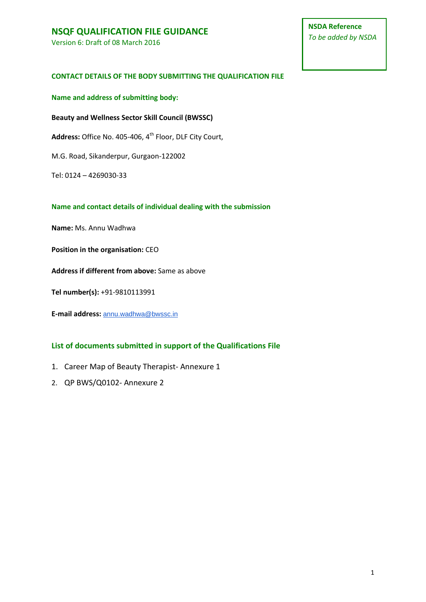Version 6: Draft of 08 March 2016

#### **CONTACT DETAILS OF THE BODY SUBMITTING THE QUALIFICATION FILE**

**Name and address of submitting body:**

**Beauty and Wellness Sector Skill Council (BWSSC)**

Address: Office No. 405-406, 4<sup>th</sup> Floor, DLF City Court,

M.G. Road, Sikanderpur, Gurgaon-122002

Tel: 0124 – 4269030-33

#### **Name and contact details of individual dealing with the submission**

**Name:** Ms. Annu Wadhwa

**Position in the organisation:** CEO

**Address if different from above:** Same as above

**Tel number(s):** +91-9810113991

**E-mail address:** [annu.wadhwa@bwssc.in](mailto:annu.wadhwa@bwssc.in)

#### **List of documents submitted in support of the Qualifications File**

1. Career Map of Beauty Therapist- Annexure 1

2. QP BWS/Q0102- Annexure 2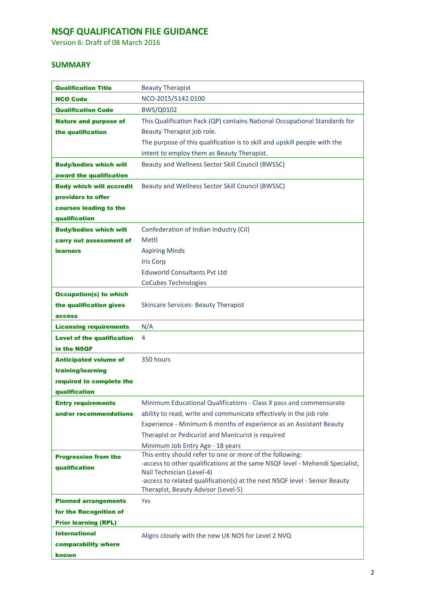Version 6: Draft of 08 March 2016

### **SUMMARY**

| <b>Qualification Title</b>        | <b>Beauty Therapist</b>                                                                                 |
|-----------------------------------|---------------------------------------------------------------------------------------------------------|
| <b>NCO Code</b>                   | NCO-2015/5142.0100                                                                                      |
| <b>Qualification Code</b>         | BWS/Q0102                                                                                               |
| <b>Nature and purpose of</b>      | This Qualification Pack (QP) contains National Occupational Standards for                               |
| the qualification                 | Beauty Therapist job role.                                                                              |
|                                   | The purpose of this qualification is to skill and upskill people with the                               |
|                                   | intent to employ them as Beauty Therapist.                                                              |
| <b>Body/bodies which will</b>     | Beauty and Wellness Sector Skill Council (BWSSC)                                                        |
| award the qualification           |                                                                                                         |
| <b>Body which will accredit</b>   | Beauty and Wellness Sector Skill Council (BWSSC)                                                        |
| providers to offer                |                                                                                                         |
| courses leading to the            |                                                                                                         |
| qualification                     |                                                                                                         |
| <b>Body/bodies which will</b>     | Confederation of Indian Industry (CII)                                                                  |
| carry out assessment of           | Mettl                                                                                                   |
| <b>learners</b>                   | <b>Aspiring Minds</b>                                                                                   |
|                                   | <b>Iris Corp</b>                                                                                        |
|                                   | <b>Eduworld Consultants Pvt Ltd</b>                                                                     |
|                                   | <b>CoCubes Technologies</b>                                                                             |
| <b>Occupation(s) to which</b>     |                                                                                                         |
| the qualification gives           | <b>Skincare Services- Beauty Therapist</b>                                                              |
| access                            |                                                                                                         |
|                                   |                                                                                                         |
| <b>Licensing requirements</b>     | N/A                                                                                                     |
| <b>Level of the qualification</b> | 4                                                                                                       |
| in the NSQF                       |                                                                                                         |
| <b>Anticipated volume of</b>      | 350 hours                                                                                               |
| training/learning                 |                                                                                                         |
| required to complete the          |                                                                                                         |
| qualification                     |                                                                                                         |
| <b>Entry requirements</b>         | Minimum Educational Qualifications - Class X pass and commensurate                                      |
| and/or recommendations            | ability to read, write and communicate effectively in the job role                                      |
|                                   | Experience - Minimum 6 months of experience as an Assistant Beauty                                      |
|                                   | Therapist or Pedicurist and Manicurist is required                                                      |
|                                   | Minimum Job Entry Age - 18 years                                                                        |
| <b>Progression from the</b>       | This entry should refer to one or more of the following:                                                |
| qualification                     | -access to other qualifications at the same NSQF level - Mehendi Specialist,                            |
|                                   | Nail Technician (Level-4)<br>-access to related qualification(s) at the next NSQF level - Senior Beauty |
|                                   | Therapist, Beauty Advisor (Level-5)                                                                     |
| <b>Planned arrangements</b>       | Yes                                                                                                     |
| for the Recognition of            |                                                                                                         |
| <b>Prior learning (RPL)</b>       |                                                                                                         |
| <b>International</b>              | Aligns closely with the new UK NOS for Level 2 NVQ                                                      |
| comparability where               |                                                                                                         |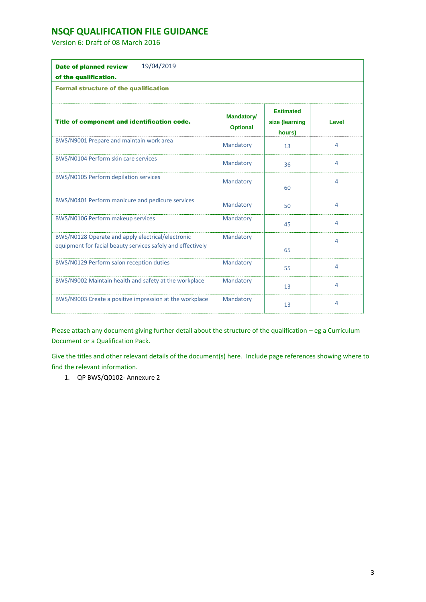Version 6: Draft of 08 March 2016

| 19/04/2019<br><b>Date of planned review</b>                                                                      |                                      |                                              |       |
|------------------------------------------------------------------------------------------------------------------|--------------------------------------|----------------------------------------------|-------|
| of the qualification.                                                                                            |                                      |                                              |       |
| <b>Formal structure of the qualification</b>                                                                     |                                      |                                              |       |
| Title of component and identification code.                                                                      | <b>Mandatory/</b><br><b>Optional</b> | <b>Estimated</b><br>size (learning<br>hours) | Level |
| BWS/N9001 Prepare and maintain work area                                                                         | Mandatory                            | 13                                           | 4     |
| BWS/N0104 Perform skin care services                                                                             | Mandatory                            | 36                                           | 4     |
| BWS/N0105 Perform depilation services                                                                            | Mandatory                            | 60                                           | 4     |
| BWS/N0401 Perform manicure and pedicure services                                                                 | Mandatory                            | 50                                           | 4     |
| BWS/N0106 Perform makeup services                                                                                | Mandatory                            | 45                                           | 4     |
| BWS/N0128 Operate and apply electrical/electronic<br>equipment for facial beauty services safely and effectively | Mandatory                            | 65                                           | 4     |
| BWS/N0129 Perform salon reception duties                                                                         | Mandatory                            | 55                                           | 4     |
| BWS/N9002 Maintain health and safety at the workplace                                                            | Mandatory                            | 13                                           | 4     |
| BWS/N9003 Create a positive impression at the workplace                                                          | Mandatory                            | 13                                           | 4     |

Please attach any document giving further detail about the structure of the qualification – eg a Curriculum Document or a Qualification Pack.

Give the titles and other relevant details of the document(s) here. Include page references showing where to find the relevant information.

1. QP BWS/Q0102- Annexure 2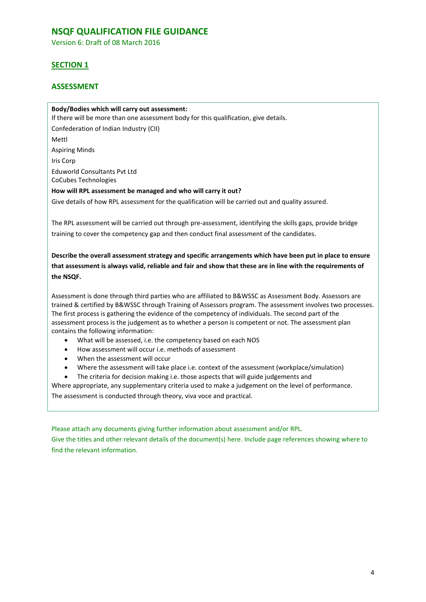Version 6: Draft of 08 March 2016

### **SECTION 1**

### **ASSESSMENT**

#### **Body/Bodies which will carry out assessment:**

If there will be more than one assessment body for this qualification, give details. Confederation of Indian Industry (CII) Mettl Aspiring Minds Iris Corp Eduworld Consultants Pvt Ltd CoCubes Technologies **How will RPL assessment be managed and who will carry it out?**  Give details of how RPL assessment for the qualification will be carried out and quality assured.

The RPL assessment will be carried out through pre-assessment, identifying the skills gaps, provide bridge training to cover the competency gap and then conduct final assessment of the candidates.

**Describe the overall assessment strategy and specific arrangements which have been put in place to ensure that assessment is always valid, reliable and fair and show that these are in line with the requirements of the NSQF.**

Assessment is done through third parties who are affiliated to B&WSSC as Assessment Body. Assessors are trained & certified by B&WSSC through Training of Assessors program. The assessment involves two processes. The first process is gathering the evidence of the competency of individuals. The second part of the assessment process is the judgement as to whether a person is competent or not. The assessment plan contains the following information:

- What will be assessed, i.e. the competency based on each NOS
- How assessment will occur i.e. methods of assessment
- When the assessment will occur
- Where the assessment will take place i.e. context of the assessment (workplace/simulation)
- The criteria for decision making i.e. those aspects that will guide judgements and

Where appropriate, any supplementary criteria used to make a judgement on the level of performance. The assessment is conducted through theory, viva voce and practical.

Please attach any documents giving further information about assessment and/or RPL.

Give the titles and other relevant details of the document(s) here. Include page references showing where to find the relevant information.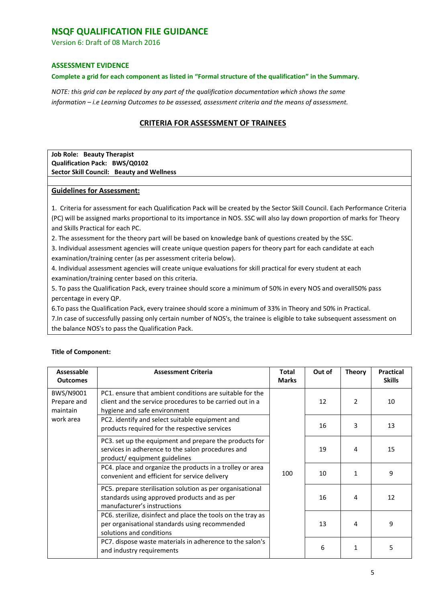Version 6: Draft of 08 March 2016

#### **ASSESSMENT EVIDENCE**

#### **Complete a grid for each component as listed in "Formal structure of the qualification" in the Summary.**

*NOTE: this grid can be replaced by any part of the qualification documentation which shows the same information – i.e Learning Outcomes to be assessed, assessment criteria and the means of assessment.* 

### **CRITERIA FOR ASSESSMENT OF TRAINEES**

#### **Job Role: Beauty Therapist Qualification Pack: BWS/Q0102 Sector Skill Council: Beauty and Wellness**

#### **Guidelines for Assessment:**

1. Criteria for assessment for each Qualification Pack will be created by the Sector Skill Council. Each Performance Criteria (PC) will be assigned marks proportional to its importance in NOS. SSC will also lay down proportion of marks for Theory and Skills Practical for each PC.

2. The assessment for the theory part will be based on knowledge bank of questions created by the SSC.

3. Individual assessment agencies will create unique question papers for theory part for each candidate at each examination/training center (as per assessment criteria below).

4. Individual assessment agencies will create unique evaluations for skill practical for every student at each examination/training center based on this criteria.

5. To pass the Qualification Pack, every trainee should score a minimum of 50% in every NOS and overall50% pass percentage in every QP.

6.To pass the Qualification Pack, every trainee should score a minimum of 33% in Theory and 50% in Practical.

7.In case of successfully passing only certain number of NOS's, the trainee is eligible to take subsequent assessment on the balance NOS's to pass the Qualification Pack.

| Assessable<br><b>Outcomes</b>        | <b>Assessment Criteria</b>                                                                                                                           | <b>Total</b><br><b>Marks</b> | Out of | <b>Theory</b>  | <b>Practical</b><br><b>Skills</b> |
|--------------------------------------|------------------------------------------------------------------------------------------------------------------------------------------------------|------------------------------|--------|----------------|-----------------------------------|
| BWS/N9001<br>Prepare and<br>maintain | PC1, ensure that ambient conditions are suitable for the<br>client and the service procedures to be carried out in a<br>hygiene and safe environment |                              | 12     | $\overline{2}$ | 10                                |
| work area                            | PC2. identify and select suitable equipment and<br>products required for the respective services                                                     |                              | 16     | 3              | 13                                |
|                                      | PC3. set up the equipment and prepare the products for<br>services in adherence to the salon procedures and<br>product/equipment guidelines          |                              | 19     | 4              | 15                                |
|                                      | PC4. place and organize the products in a trolley or area<br>convenient and efficient for service delivery                                           | 100                          | 10     |                | 9                                 |
|                                      | PC5. prepare sterilisation solution as per organisational<br>standards using approved products and as per<br>manufacturer's instructions             |                              | 16     | 4              | 12                                |
|                                      | PC6. sterilize, disinfect and place the tools on the tray as<br>per organisational standards using recommended<br>solutions and conditions           |                              | 13     | 4              | 9                                 |
|                                      | PC7. dispose waste materials in adherence to the salon's<br>and industry requirements                                                                |                              | 6      | 1              | 5                                 |

#### **Title of Component:**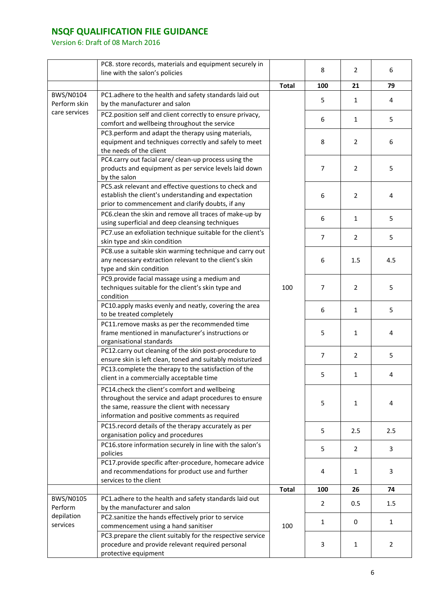|                        | PC8. store records, materials and equipment securely in<br>line with the salon's policies                                                                                                               |              | 8              | $\overline{2}$ | 6            |
|------------------------|---------------------------------------------------------------------------------------------------------------------------------------------------------------------------------------------------------|--------------|----------------|----------------|--------------|
|                        |                                                                                                                                                                                                         | <b>Total</b> | 100            | 21             | 79           |
| BWS/N0104              | PC1.adhere to the health and safety standards laid out                                                                                                                                                  |              |                |                |              |
| Perform skin           | by the manufacturer and salon                                                                                                                                                                           |              | 5              | $\mathbf{1}$   | 4            |
| care services          | PC2.position self and client correctly to ensure privacy,<br>comfort and wellbeing throughout the service                                                                                               |              | 6              | $\mathbf{1}$   | 5            |
|                        | PC3.perform and adapt the therapy using materials,<br>equipment and techniques correctly and safely to meet<br>the needs of the client                                                                  |              | 8              | $\overline{2}$ | 6            |
|                        | PC4.carry out facial care/ clean-up process using the<br>products and equipment as per service levels laid down<br>by the salon                                                                         |              | $\overline{7}$ | $\overline{2}$ | 5            |
|                        | PC5.ask relevant and effective questions to check and<br>establish the client's understanding and expectation<br>prior to commencement and clarify doubts, if any                                       |              | 6              | $\overline{2}$ | 4            |
|                        | PC6.clean the skin and remove all traces of make-up by<br>using superficial and deep cleansing techniques                                                                                               |              | 6              | $\mathbf{1}$   | 5            |
|                        | PC7.use an exfoliation technique suitable for the client's<br>skin type and skin condition                                                                                                              |              | $\overline{7}$ | $\overline{2}$ | 5            |
|                        | PC8.use a suitable skin warming technique and carry out<br>any necessary extraction relevant to the client's skin<br>type and skin condition                                                            |              | 6              | 1.5            | 4.5          |
|                        | PC9.provide facial massage using a medium and<br>techniques suitable for the client's skin type and<br>condition                                                                                        | 100          | 7              | $\overline{2}$ | 5            |
|                        | PC10.apply masks evenly and neatly, covering the area<br>to be treated completely                                                                                                                       |              | 6              | $\mathbf{1}$   | 5            |
|                        | PC11.remove masks as per the recommended time<br>frame mentioned in manufacturer's instructions or<br>organisational standards                                                                          |              | 5              | $\mathbf{1}$   | 4            |
|                        | PC12.carry out cleaning of the skin post-procedure to<br>ensure skin is left clean, toned and suitably moisturized                                                                                      |              | $\overline{7}$ | $\overline{2}$ | 5            |
|                        | PC13.complete the therapy to the satisfaction of the<br>client in a commercially acceptable time                                                                                                        |              | 5              | $\mathbf{1}$   | 4            |
|                        | PC14.check the client's comfort and wellbeing<br>throughout the service and adapt procedures to ensure<br>the same, reassure the client with necessary<br>information and positive comments as required |              | 5              | $\mathbf{1}$   | 4            |
|                        | PC15.record details of the therapy accurately as per<br>organisation policy and procedures                                                                                                              |              | 5              | 2.5            | 2.5          |
|                        | PC16.store information securely in line with the salon's<br>policies                                                                                                                                    |              | 5              | $\overline{2}$ | 3            |
|                        | PC17.provide specific after-procedure, homecare advice<br>and recommendations for product use and further<br>services to the client                                                                     |              | 4              | $\mathbf{1}$   | 3            |
|                        |                                                                                                                                                                                                         | <b>Total</b> | 100            | 26             | 74           |
| BWS/N0105<br>Perform   | PC1.adhere to the health and safety standards laid out<br>by the manufacturer and salon                                                                                                                 |              | 2              | 0.5            | 1.5          |
| depilation<br>services | PC2.sanitize the hands effectively prior to service<br>commencement using a hand sanitiser                                                                                                              | 100          | 1              | 0              | $\mathbf{1}$ |
|                        | PC3.prepare the client suitably for the respective service<br>procedure and provide relevant required personal<br>protective equipment                                                                  |              | 3              | $\mathbf{1}$   | 2            |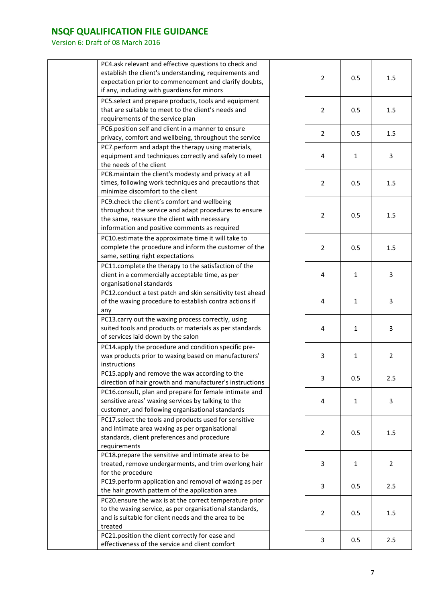| PC4.ask relevant and effective questions to check and<br>establish the client's understanding, requirements and<br>expectation prior to commencement and clarify doubts,<br>if any, including with guardians for minors | $\overline{2}$ | 0.5          | 1.5            |
|-------------------------------------------------------------------------------------------------------------------------------------------------------------------------------------------------------------------------|----------------|--------------|----------------|
| PC5.select and prepare products, tools and equipment<br>that are suitable to meet to the client's needs and<br>requirements of the service plan                                                                         | $\overline{2}$ | 0.5          | 1.5            |
| PC6.position self and client in a manner to ensure<br>privacy, comfort and wellbeing, throughout the service                                                                                                            | $\overline{2}$ | 0.5          | 1.5            |
| PC7.perform and adapt the therapy using materials,<br>equipment and techniques correctly and safely to meet<br>the needs of the client                                                                                  | 4              | $\mathbf{1}$ | 3              |
| PC8.maintain the client's modesty and privacy at all<br>times, following work techniques and precautions that<br>minimize discomfort to the client                                                                      | $\overline{2}$ | 0.5          | 1.5            |
| PC9.check the client's comfort and wellbeing<br>throughout the service and adapt procedures to ensure<br>the same, reassure the client with necessary<br>information and positive comments as required                  | $\overline{2}$ | 0.5          | 1.5            |
| PC10.estimate the approximate time it will take to<br>complete the procedure and inform the customer of the<br>same, setting right expectations                                                                         | $\overline{2}$ | 0.5          | 1.5            |
| PC11.complete the therapy to the satisfaction of the<br>client in a commercially acceptable time, as per<br>organisational standards                                                                                    | 4              | $\mathbf{1}$ | 3              |
| PC12.conduct a test patch and skin sensitivity test ahead<br>of the waxing procedure to establish contra actions if<br>any                                                                                              | 4              | $\mathbf{1}$ | 3              |
| PC13.carry out the waxing process correctly, using<br>suited tools and products or materials as per standards<br>of services laid down by the salon                                                                     | 4              | $\mathbf{1}$ | 3              |
| PC14.apply the procedure and condition specific pre-<br>wax products prior to waxing based on manufacturers'<br>instructions                                                                                            | 3              | $\mathbf{1}$ | $\overline{2}$ |
| PC15.apply and remove the wax according to the<br>direction of hair growth and manufacturer's instructions                                                                                                              | 3              | 0.5          | 2.5            |
| PC16.consult, plan and prepare for female intimate and<br>sensitive areas' waxing services by talking to the<br>customer, and following organisational standards                                                        | 4              | $\mathbf{1}$ | 3              |
| PC17.select the tools and products used for sensitive<br>and intimate area waxing as per organisational<br>standards, client preferences and procedure<br>requirements                                                  | $\overline{2}$ | 0.5          | 1.5            |
| PC18.prepare the sensitive and intimate area to be<br>treated, remove undergarments, and trim overlong hair<br>for the procedure                                                                                        | 3              | $\mathbf{1}$ | $\overline{2}$ |
| PC19.perform application and removal of waxing as per<br>the hair growth pattern of the application area                                                                                                                | 3              | 0.5          | 2.5            |
| PC20.ensure the wax is at the correct temperature prior<br>to the waxing service, as per organisational standards,<br>and is suitable for client needs and the area to be<br>treated                                    | $\overline{2}$ | 0.5          | 1.5            |
| PC21.position the client correctly for ease and<br>effectiveness of the service and client comfort                                                                                                                      | 3              | 0.5          | 2.5            |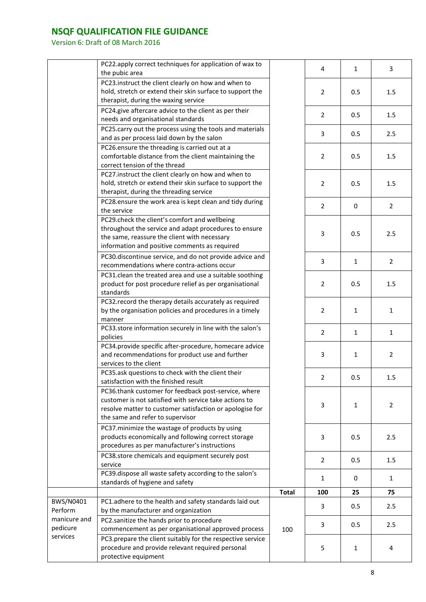|              | PC22.apply correct techniques for application of wax to                                                        |              | 4              | $\mathbf{1}$ | 3              |
|--------------|----------------------------------------------------------------------------------------------------------------|--------------|----------------|--------------|----------------|
|              | the pubic area                                                                                                 |              |                |              |                |
|              | PC23.instruct the client clearly on how and when to                                                            |              |                |              |                |
|              | hold, stretch or extend their skin surface to support the                                                      |              | $\overline{2}$ | 0.5          | 1.5            |
|              | therapist, during the waxing service                                                                           |              |                |              |                |
|              | PC24.give aftercare advice to the client as per their                                                          |              | $\overline{2}$ | 0.5          | 1.5            |
|              | needs and organisational standards                                                                             |              |                |              |                |
|              | PC25.carry out the process using the tools and materials                                                       |              | 3              | 0.5          | 2.5            |
|              | and as per process laid down by the salon                                                                      |              |                |              |                |
|              | PC26.ensure the threading is carried out at a                                                                  |              |                |              |                |
|              | comfortable distance from the client maintaining the                                                           |              | 2              | 0.5          | 1.5            |
|              | correct tension of the thread                                                                                  |              |                |              |                |
|              | PC27.instruct the client clearly on how and when to                                                            |              |                |              |                |
|              | hold, stretch or extend their skin surface to support the                                                      |              | $\overline{2}$ | 0.5          | 1.5            |
|              | therapist, during the threading service                                                                        |              |                |              |                |
|              | PC28.ensure the work area is kept clean and tidy during                                                        |              |                |              |                |
|              | the service                                                                                                    |              | $\overline{2}$ | $\mathbf 0$  | $\overline{2}$ |
|              | PC29.check the client's comfort and wellbeing                                                                  |              |                |              |                |
|              | throughout the service and adapt procedures to ensure                                                          |              |                |              |                |
|              | the same, reassure the client with necessary                                                                   |              | 3              | 0.5          | 2.5            |
|              | information and positive comments as required                                                                  |              |                |              |                |
|              | PC30.discontinue service, and do not provide advice and                                                        |              |                |              |                |
|              | recommendations where contra-actions occur                                                                     |              | 3              | $\mathbf{1}$ | $\overline{2}$ |
|              | PC31.clean the treated area and use a suitable soothing                                                        |              |                |              |                |
|              | product for post procedure relief as per organisational                                                        |              | 2              | 0.5          | 1.5            |
|              | standards                                                                                                      |              |                |              |                |
|              | PC32.record the therapy details accurately as required                                                         |              |                |              |                |
|              | by the organisation policies and procedures in a timely                                                        |              | 2              | $\mathbf{1}$ | $\mathbf{1}$   |
|              | manner                                                                                                         |              |                |              |                |
|              | PC33.store information securely in line with the salon's                                                       |              |                |              |                |
|              | policies                                                                                                       |              | $\overline{2}$ | $\mathbf{1}$ | $\mathbf{1}$   |
|              | PC34.provide specific after-procedure, homecare advice                                                         |              |                |              |                |
|              | and recommendations for product use and further                                                                |              | 3              | $\mathbf{1}$ | $\overline{2}$ |
|              | services to the client                                                                                         |              |                |              |                |
|              | PC35.ask questions to check with the client their                                                              |              |                |              |                |
|              | satisfaction with the finished result                                                                          |              | $\overline{2}$ | 0.5          | 1.5            |
|              | PC36.thank customer for feedback post-service, where                                                           |              |                |              |                |
|              | customer is not satisfied with service take actions to                                                         |              |                |              |                |
|              | resolve matter to customer satisfaction or apologise for                                                       |              | 3              | $\mathbf{1}$ | 2              |
|              | the same and refer to supervisor                                                                               |              |                |              |                |
|              | PC37.minimize the wastage of products by using                                                                 |              |                |              |                |
|              | products economically and following correct storage                                                            |              | 3              | 0.5          | 2.5            |
|              | procedures as per manufacturer's instructions                                                                  |              |                |              |                |
|              | PC38.store chemicals and equipment securely post                                                               |              |                |              |                |
|              | service                                                                                                        |              | $\overline{2}$ | 0.5          | 1.5            |
|              | PC39.dispose all waste safety according to the salon's                                                         |              |                |              |                |
|              | standards of hygiene and safety                                                                                |              | 1              | 0            | 1              |
|              |                                                                                                                | <b>Total</b> | 100            | 25           | 75             |
| BWS/N0401    | PC1.adhere to the health and safety standards laid out                                                         |              |                |              |                |
| Perform      | by the manufacturer and organization                                                                           |              | 3              | 0.5          | 2.5            |
| manicure and | PC2.sanitize the hands prior to procedure                                                                      |              |                |              |                |
| pedicure     | commencement as per organisational approved process                                                            | 100          | 3              | 0.5          | 2.5            |
| services     |                                                                                                                |              |                |              |                |
|              | PC3.prepare the client suitably for the respective service<br>procedure and provide relevant required personal |              |                |              |                |
|              | protective equipment                                                                                           |              | 5              | $\mathbf{1}$ | 4              |
|              |                                                                                                                |              |                |              |                |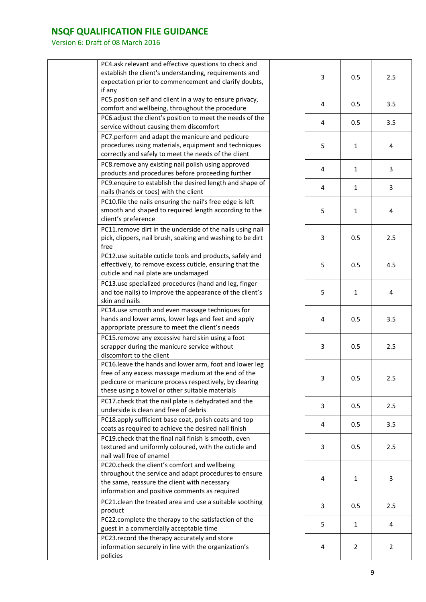| PC4.ask relevant and effective questions to check and<br>establish the client's understanding, requirements and<br>expectation prior to commencement and clarify doubts,<br>if any                                         | 3 | 0.5            | 2.5            |
|----------------------------------------------------------------------------------------------------------------------------------------------------------------------------------------------------------------------------|---|----------------|----------------|
| PC5.position self and client in a way to ensure privacy,<br>comfort and wellbeing, throughout the procedure                                                                                                                | 4 | 0.5            | 3.5            |
| PC6.adjust the client's position to meet the needs of the<br>service without causing them discomfort                                                                                                                       | 4 | 0.5            | 3.5            |
| PC7.perform and adapt the manicure and pedicure<br>procedures using materials, equipment and techniques<br>correctly and safely to meet the needs of the client                                                            | 5 | $\mathbf{1}$   | 4              |
| PC8.remove any existing nail polish using approved<br>products and procedures before proceeding further                                                                                                                    | 4 | $\mathbf{1}$   | 3              |
| PC9.enquire to establish the desired length and shape of<br>nails (hands or toes) with the client                                                                                                                          | 4 | $\mathbf{1}$   | 3              |
| PC10.file the nails ensuring the nail's free edge is left<br>smooth and shaped to required length according to the<br>client's preference                                                                                  | 5 | $\mathbf{1}$   | 4              |
| PC11.remove dirt in the underside of the nails using nail<br>pick, clippers, nail brush, soaking and washing to be dirt<br>free                                                                                            | 3 | 0.5            | 2.5            |
| PC12.use suitable cuticle tools and products, safely and<br>effectively, to remove excess cuticle, ensuring that the<br>cuticle and nail plate are undamaged                                                               | 5 | 0.5            | 4.5            |
| PC13.use specialized procedures (hand and leg, finger<br>and toe nails) to improve the appearance of the client's<br>skin and nails                                                                                        | 5 | $\mathbf{1}$   | 4              |
| PC14.use smooth and even massage techniques for<br>hands and lower arms, lower legs and feet and apply<br>appropriate pressure to meet the client's needs                                                                  | 4 | 0.5            | 3.5            |
| PC15.remove any excessive hard skin using a foot<br>scrapper during the manicure service without<br>discomfort to the client                                                                                               | 3 | 0.5            | 2.5            |
| PC16.leave the hands and lower arm, foot and lower leg<br>free of any excess massage medium at the end of the<br>pedicure or manicure process respectively, by clearing<br>these using a towel or other suitable materials | 3 | 0.5            | 2.5            |
| PC17.check that the nail plate is dehydrated and the<br>underside is clean and free of debris                                                                                                                              | 3 | 0.5            | 2.5            |
| PC18.apply sufficient base coat, polish coats and top<br>coats as required to achieve the desired nail finish                                                                                                              | 4 | 0.5            | 3.5            |
| PC19.check that the final nail finish is smooth, even<br>textured and uniformly coloured, with the cuticle and<br>nail wall free of enamel                                                                                 | 3 | 0.5            | 2.5            |
| PC20.check the client's comfort and wellbeing<br>throughout the service and adapt procedures to ensure<br>the same, reassure the client with necessary<br>information and positive comments as required                    | 4 | 1              | 3              |
| PC21.clean the treated area and use a suitable soothing<br>product                                                                                                                                                         | 3 | 0.5            | 2.5            |
| PC22.complete the therapy to the satisfaction of the<br>guest in a commercially acceptable time                                                                                                                            | 5 | $\mathbf{1}$   | 4              |
| PC23. record the therapy accurately and store<br>information securely in line with the organization's<br>policies                                                                                                          | 4 | $\overline{2}$ | $\overline{2}$ |
|                                                                                                                                                                                                                            |   |                |                |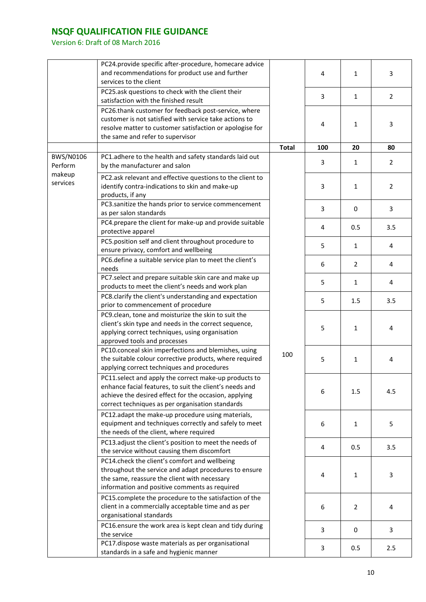|                      | PC24.provide specific after-procedure, homecare advice<br>and recommendations for product use and further<br>services to the client                                                                                           |              | 4              | $\mathbf{1}$   | 3              |
|----------------------|-------------------------------------------------------------------------------------------------------------------------------------------------------------------------------------------------------------------------------|--------------|----------------|----------------|----------------|
|                      | PC25.ask questions to check with the client their<br>satisfaction with the finished result                                                                                                                                    |              | 3              | $\mathbf{1}$   | $\overline{2}$ |
|                      | PC26.thank customer for feedback post-service, where<br>customer is not satisfied with service take actions to<br>resolve matter to customer satisfaction or apologise for<br>the same and refer to supervisor                |              | $\overline{4}$ | $\mathbf{1}$   | 3              |
|                      |                                                                                                                                                                                                                               | <b>Total</b> | 100            | 20             | 80             |
| BWS/N0106<br>Perform | PC1.adhere to the health and safety standards laid out<br>by the manufacturer and salon                                                                                                                                       |              | 3              | $\mathbf{1}$   | $\overline{2}$ |
| makeup<br>services   | PC2.ask relevant and effective questions to the client to<br>identify contra-indications to skin and make-up<br>products, if any                                                                                              |              | 3              | $\mathbf{1}$   | $\overline{2}$ |
|                      | PC3.sanitize the hands prior to service commencement<br>as per salon standards                                                                                                                                                |              | 3              | $\Omega$       | 3              |
|                      | PC4.prepare the client for make-up and provide suitable<br>protective apparel                                                                                                                                                 |              | 4              | 0.5            | 3.5            |
|                      | PC5.position self and client throughout procedure to<br>ensure privacy, comfort and wellbeing                                                                                                                                 |              | 5              | $\mathbf{1}$   | 4              |
|                      | PC6.define a suitable service plan to meet the client's<br>needs                                                                                                                                                              |              | 6              | $\overline{2}$ | 4              |
|                      | PC7.select and prepare suitable skin care and make up<br>products to meet the client's needs and work plan                                                                                                                    |              | 5              | $\mathbf{1}$   | 4              |
|                      | PC8.clarify the client's understanding and expectation<br>prior to commencement of procedure                                                                                                                                  |              | 5              | 1.5            | 3.5            |
|                      | PC9.clean, tone and moisturize the skin to suit the<br>client's skin type and needs in the correct sequence,<br>applying correct techniques, using organisation<br>approved tools and processes                               |              | 5              | $\mathbf{1}$   | 4              |
|                      | PC10.conceal skin imperfections and blemishes, using<br>the suitable colour corrective products, where required<br>applying correct techniques and procedures                                                                 | 100          | 5              | $\mathbf{1}$   | 4              |
|                      | PC11.select and apply the correct make-up products to<br>enhance facial features, to suit the client's needs and<br>achieve the desired effect for the occasion, applying<br>correct techniques as per organisation standards |              | 6              | 1.5            | 4.5            |
|                      | PC12.adapt the make-up procedure using materials,<br>equipment and techniques correctly and safely to meet<br>the needs of the client, where required                                                                         |              | 6              | $\mathbf{1}$   | 5              |
|                      | PC13.adjust the client's position to meet the needs of<br>the service without causing them discomfort                                                                                                                         |              | 4              | 0.5            | 3.5            |
|                      | PC14.check the client's comfort and wellbeing<br>throughout the service and adapt procedures to ensure<br>the same, reassure the client with necessary<br>information and positive comments as required                       |              | 4              | $\mathbf{1}$   | 3              |
|                      | PC15.complete the procedure to the satisfaction of the<br>client in a commercially acceptable time and as per<br>organisational standards                                                                                     |              | 6              | $\overline{2}$ | 4              |
|                      | PC16.ensure the work area is kept clean and tidy during<br>the service                                                                                                                                                        |              | 3              | 0              | 3              |
|                      | PC17.dispose waste materials as per organisational<br>standards in a safe and hygienic manner                                                                                                                                 |              | 3              | 0.5            | 2.5            |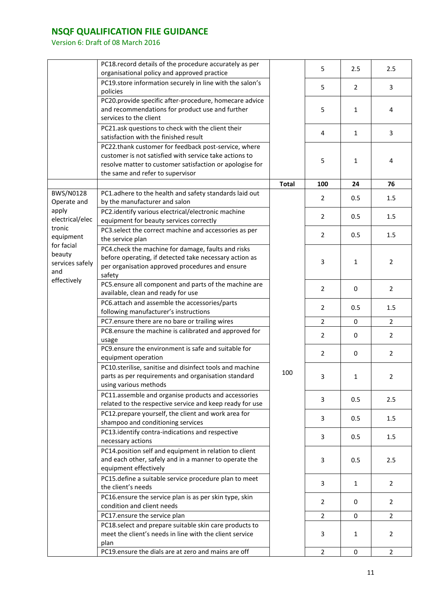|                          | PC18. record details of the procedure accurately as per<br>organisational policy and approved practice |              | 5              | 2.5            | 2.5            |
|--------------------------|--------------------------------------------------------------------------------------------------------|--------------|----------------|----------------|----------------|
|                          | PC19.store information securely in line with the salon's                                               |              | 5              | $\overline{2}$ | 3              |
|                          | policies<br>PC20.provide specific after-procedure, homecare advice                                     |              |                |                |                |
|                          | and recommendations for product use and further                                                        |              | 5              | $\mathbf{1}$   | 4              |
|                          | services to the client                                                                                 |              |                |                |                |
|                          | PC21.ask questions to check with the client their                                                      |              | 4              | $\mathbf{1}$   | 3              |
|                          | satisfaction with the finished result                                                                  |              |                |                |                |
|                          | PC22.thank customer for feedback post-service, where                                                   |              |                |                |                |
|                          | customer is not satisfied with service take actions to                                                 |              | 5              | $\mathbf{1}$   | 4              |
|                          | resolve matter to customer satisfaction or apologise for                                               |              |                |                |                |
|                          | the same and refer to supervisor                                                                       |              |                |                |                |
|                          |                                                                                                        | <b>Total</b> | 100            | 24             | 76             |
| BWS/N0128                | PC1.adhere to the health and safety standards laid out                                                 |              | 2              | 0.5            | 1.5            |
| Operate and              | by the manufacturer and salon                                                                          |              |                |                |                |
| apply<br>electrical/elec | PC2.identify various electrical/electronic machine                                                     |              | $\overline{2}$ | 0.5            | 1.5            |
| tronic                   | equipment for beauty services correctly                                                                |              |                |                |                |
| equipment                | PC3.select the correct machine and accessories as per                                                  |              | $\overline{2}$ | 0.5            | 1.5            |
| for facial               | the service plan                                                                                       |              |                |                |                |
| beauty                   | PC4.check the machine for damage, faults and risks                                                     |              |                |                |                |
| services safely          | before operating, if detected take necessary action as                                                 |              | 3              | $\mathbf{1}$   | $\overline{2}$ |
| and                      | per organisation approved procedures and ensure                                                        |              |                |                |                |
| effectively              | safety<br>PC5.ensure all component and parts of the machine are                                        |              |                |                |                |
|                          | available, clean and ready for use                                                                     |              | $\overline{2}$ | 0              | $\overline{2}$ |
|                          | PC6.attach and assemble the accessories/parts                                                          |              |                |                |                |
|                          | following manufacturer's instructions                                                                  |              | $\overline{2}$ | 0.5            | 1.5            |
|                          | PC7.ensure there are no bare or trailing wires                                                         |              | $\overline{2}$ | 0              | $\overline{2}$ |
|                          | PC8.ensure the machine is calibrated and approved for                                                  |              |                |                |                |
|                          | usage                                                                                                  |              | 2              | 0              | 2              |
|                          | PC9.ensure the environment is safe and suitable for                                                    |              |                |                |                |
|                          | equipment operation                                                                                    |              | $\overline{2}$ | $\mathbf 0$    | $\overline{2}$ |
|                          | PC10.sterilise, sanitise and disinfect tools and machine                                               |              |                |                |                |
|                          | parts as per requirements and organisation standard                                                    | 100          | 3              | $\mathbf{1}$   | $\overline{2}$ |
|                          | using various methods                                                                                  |              |                |                |                |
|                          | PC11.assemble and organise products and accessories                                                    |              |                |                |                |
|                          | related to the respective service and keep ready for use                                               |              | 3              | 0.5            | 2.5            |
|                          | PC12.prepare yourself, the client and work area for                                                    |              |                |                |                |
|                          | shampoo and conditioning services                                                                      |              | 3              | 0.5            | 1.5            |
|                          | PC13.identify contra-indications and respective                                                        |              |                |                |                |
|                          | necessary actions                                                                                      |              | 3              | 0.5            | 1.5            |
|                          | PC14.position self and equipment in relation to client                                                 |              |                |                |                |
|                          | and each other, safely and in a manner to operate the                                                  |              | 3              | 0.5            | 2.5            |
|                          | equipment effectively                                                                                  |              |                |                |                |
|                          | PC15.define a suitable service procedure plan to meet                                                  |              | 3              | $\mathbf{1}$   | 2              |
|                          | the client's needs                                                                                     |              |                |                |                |
|                          | PC16.ensure the service plan is as per skin type, skin                                                 |              | $\overline{2}$ | 0              | $\overline{2}$ |
|                          | condition and client needs                                                                             |              |                |                |                |
|                          | PC17.ensure the service plan                                                                           |              | $\overline{2}$ | 0              | $\overline{2}$ |
|                          | PC18.select and prepare suitable skin care products to                                                 |              |                |                |                |
|                          | meet the client's needs in line with the client service                                                |              | 3              | $\mathbf{1}$   | 2              |
|                          | plan                                                                                                   |              |                |                |                |
|                          | PC19.ensure the dials are at zero and mains are off                                                    |              | $\overline{2}$ | $\mathbf 0$    | $\overline{2}$ |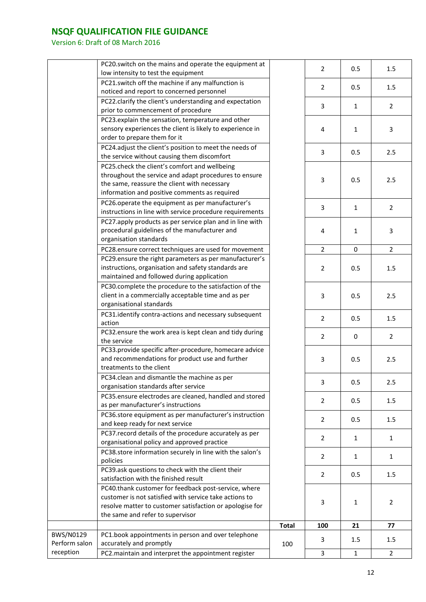|               | PC20.switch on the mains and operate the equipment at                                                 |              | $\overline{2}$ | 0.5          | 1.5            |
|---------------|-------------------------------------------------------------------------------------------------------|--------------|----------------|--------------|----------------|
|               | low intensity to test the equipment                                                                   |              |                |              |                |
|               | PC21.switch off the machine if any malfunction is<br>noticed and report to concerned personnel        |              | $\overline{2}$ | 0.5          | 1.5            |
|               | PC22.clarify the client's understanding and expectation                                               |              | 3              | $\mathbf{1}$ | $\overline{2}$ |
|               | prior to commencement of procedure                                                                    |              |                |              |                |
|               | PC23.explain the sensation, temperature and other                                                     |              |                |              |                |
|               | sensory experiences the client is likely to experience in<br>order to prepare them for it             |              | 4              | $\mathbf{1}$ | 3              |
|               |                                                                                                       |              |                |              |                |
|               | PC24.adjust the client's position to meet the needs of<br>the service without causing them discomfort |              | 3              | 0.5          | 2.5            |
|               | PC25.check the client's comfort and wellbeing                                                         |              |                |              |                |
|               | throughout the service and adapt procedures to ensure                                                 |              |                |              |                |
|               | the same, reassure the client with necessary                                                          |              | 3              | 0.5          | 2.5            |
|               | information and positive comments as required                                                         |              |                |              |                |
|               | PC26.operate the equipment as per manufacturer's                                                      |              |                |              |                |
|               | instructions in line with service procedure requirements                                              |              | 3              | $\mathbf{1}$ | $\overline{2}$ |
|               | PC27.apply products as per service plan and in line with                                              |              |                |              |                |
|               | procedural guidelines of the manufacturer and                                                         |              | 4              | $\mathbf{1}$ | 3              |
|               | organisation standards                                                                                |              |                |              |                |
|               | PC28.ensure correct techniques are used for movement                                                  |              | $\overline{2}$ | 0            | $\overline{2}$ |
|               | PC29.ensure the right parameters as per manufacturer's                                                |              |                |              |                |
|               | instructions, organisation and safety standards are                                                   |              | $\overline{2}$ | 0.5          | 1.5            |
|               | maintained and followed during application                                                            |              |                |              |                |
|               | PC30.complete the procedure to the satisfaction of the                                                |              |                |              |                |
|               | client in a commercially acceptable time and as per                                                   |              | 3              | 0.5          | 2.5            |
|               | organisational standards                                                                              |              |                |              |                |
|               | PC31.identify contra-actions and necessary subsequent                                                 |              |                |              |                |
|               | action                                                                                                |              | $\overline{2}$ | 0.5          | 1.5            |
|               | PC32.ensure the work area is kept clean and tidy during                                               |              |                |              |                |
|               | the service                                                                                           |              | $\overline{2}$ | 0            | 2              |
|               | PC33.provide specific after-procedure, homecare advice                                                |              |                |              |                |
|               | and recommendations for product use and further                                                       |              | 3              | 0.5          | 2.5            |
|               | treatments to the client                                                                              |              |                |              |                |
|               | PC34.clean and dismantle the machine as per                                                           |              |                |              |                |
|               | organisation standards after service                                                                  |              | 3              | 0.5          | 2.5            |
|               | PC35.ensure electrodes are cleaned, handled and stored                                                |              |                |              |                |
|               | as per manufacturer's instructions                                                                    |              | 2              | 0.5          | 1.5            |
|               | PC36.store equipment as per manufacturer's instruction                                                |              |                |              |                |
|               | and keep ready for next service                                                                       |              | $\overline{2}$ | 0.5          | 1.5            |
|               | PC37. record details of the procedure accurately as per                                               |              |                |              |                |
|               | organisational policy and approved practice                                                           |              | $\overline{2}$ | $\mathbf{1}$ | 1              |
|               | PC38.store information securely in line with the salon's                                              |              | $\overline{2}$ | $\mathbf{1}$ | $\mathbf{1}$   |
|               | policies                                                                                              |              |                |              |                |
|               | PC39.ask questions to check with the client their                                                     |              | $\overline{2}$ | 0.5          | 1.5            |
|               | satisfaction with the finished result                                                                 |              |                |              |                |
|               | PC40.thank customer for feedback post-service, where                                                  |              |                |              |                |
|               | customer is not satisfied with service take actions to                                                |              | 3              | 1            | 2              |
|               | resolve matter to customer satisfaction or apologise for                                              |              |                |              |                |
|               | the same and refer to supervisor                                                                      |              |                |              |                |
|               |                                                                                                       | <b>Total</b> | 100            | 21           | 77             |
| BWS/N0129     | PC1.book appointments in person and over telephone                                                    |              | 3              | 1.5          | 1.5            |
| Perform salon | accurately and promptly                                                                               | 100          |                |              |                |
| reception     | PC2.maintain and interpret the appointment register                                                   |              | 3              | $\mathbf{1}$ | $\overline{2}$ |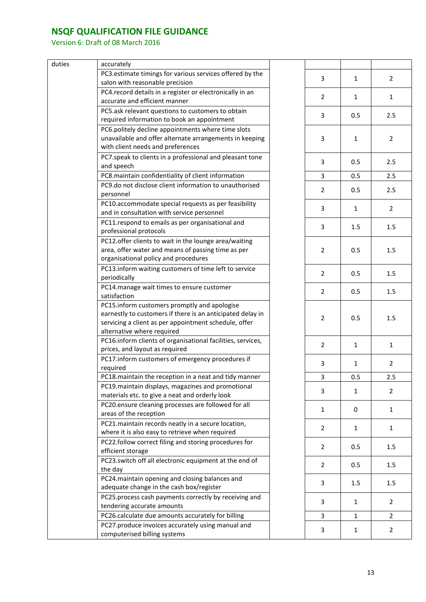| duties | accurately                                                                                            |                |              |
|--------|-------------------------------------------------------------------------------------------------------|----------------|--------------|
|        | PC3.estimate timings for various services offered by the                                              | 3              | $\mathbf{1}$ |
|        | salon with reasonable precision                                                                       |                |              |
|        | PC4. record details in a register or electronically in an<br>accurate and efficient manner            | 2              | $\mathbf{1}$ |
|        | PC5.ask relevant questions to customers to obtain                                                     |                |              |
|        | required information to book an appointment                                                           | 3              | 0.5          |
|        | PC6.politely decline appointments where time slots                                                    |                |              |
|        | unavailable and offer alternate arrangements in keeping                                               | 3              | $\mathbf{1}$ |
|        | with client needs and preferences                                                                     |                |              |
|        | PC7.speak to clients in a professional and pleasant tone                                              |                |              |
|        | and speech                                                                                            | 3              | 0.5          |
|        | PC8.maintain confidentiality of client information                                                    | 3              | 0.5          |
|        | PC9.do not disclose client information to unauthorised                                                |                |              |
|        | personnel                                                                                             | $\overline{2}$ | 0.5          |
|        | PC10.accommodate special requests as per feasibility                                                  |                |              |
|        | and in consultation with service personnel                                                            | 3              | $\mathbf{1}$ |
|        | PC11.respond to emails as per organisational and                                                      |                |              |
|        | professional protocols                                                                                | 3              | 1.5          |
|        | PC12.offer clients to wait in the lounge area/waiting                                                 |                |              |
|        | area, offer water and means of passing time as per                                                    | $\overline{2}$ | 0.5          |
|        | organisational policy and procedures                                                                  |                |              |
|        | PC13.inform waiting customers of time left to service                                                 |                |              |
|        | periodically                                                                                          | $\overline{2}$ | 0.5          |
|        | PC14.manage wait times to ensure customer                                                             |                |              |
|        | satisfaction                                                                                          | $\overline{2}$ | 0.5          |
|        | PC15.inform customers promptly and apologise                                                          |                |              |
|        | earnestly to customers if there is an anticipated delay in                                            |                |              |
|        | servicing a client as per appointment schedule, offer                                                 | $\overline{2}$ | 0.5          |
|        | alternative where required                                                                            |                |              |
|        | PC16.inform clients of organisational facilities, services,                                           | $\overline{2}$ | $\mathbf{1}$ |
|        | prices, and layout as required                                                                        |                |              |
|        | PC17.inform customers of emergency procedures if                                                      | 3              | $\mathbf{1}$ |
|        | required                                                                                              |                |              |
|        | PC18 maintain the reception in a neat and tidy manner                                                 | 3              | 0.5          |
|        | PC19. maintain displays, magazines and promotional                                                    | 3              | $\mathbf{1}$ |
|        | materials etc. to give a neat and orderly look                                                        |                |              |
|        | PC20.ensure cleaning processes are followed for all                                                   | $\mathbf{1}$   | 0            |
|        | areas of the reception                                                                                |                |              |
|        | PC21.maintain records neatly in a secure location,<br>where it is also easy to retrieve when required | $\overline{2}$ | $\mathbf{1}$ |
|        | PC22.follow correct filing and storing procedures for                                                 |                |              |
|        | efficient storage                                                                                     | $\overline{2}$ | 0.5          |
|        | PC23.switch off all electronic equipment at the end of                                                |                |              |
|        | the day                                                                                               | 2              | 0.5          |
|        | PC24. maintain opening and closing balances and                                                       |                |              |
|        | adequate change in the cash box/register                                                              | 3              | 1.5          |
|        | PC25.process cash payments correctly by receiving and                                                 |                |              |
|        | tendering accurate amounts                                                                            | 3              | $\mathbf{1}$ |
|        | PC26.calculate due amounts accurately for billing                                                     | $\overline{3}$ | $\mathbf{1}$ |
|        |                                                                                                       |                |              |
|        | PC27.produce invoices accurately using manual and                                                     | 3              |              |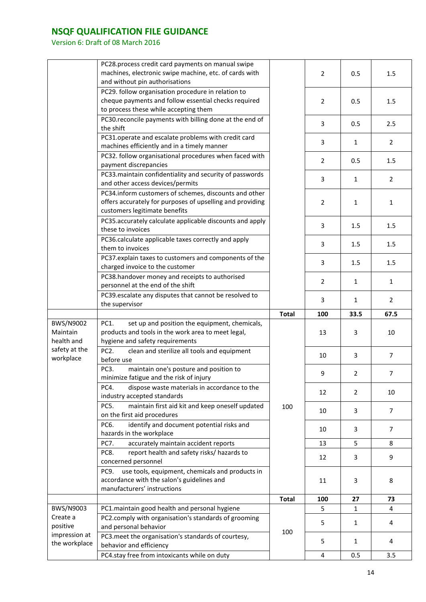|                                     | PC28.process credit card payments on manual swipe<br>machines, electronic swipe machine, etc. of cards with<br>and without pin authorisations       |              | 2              | 0.5            | 1.5            |
|-------------------------------------|-----------------------------------------------------------------------------------------------------------------------------------------------------|--------------|----------------|----------------|----------------|
|                                     | PC29. follow organisation procedure in relation to<br>cheque payments and follow essential checks required<br>to process these while accepting them |              | $\overline{2}$ | 0.5            | 1.5            |
|                                     | PC30.reconcile payments with billing done at the end of<br>the shift                                                                                |              | 3              | 0.5            | 2.5            |
|                                     | PC31.operate and escalate problems with credit card<br>machines efficiently and in a timely manner                                                  |              | 3              | $\mathbf{1}$   | $\overline{2}$ |
|                                     | PC32. follow organisational procedures when faced with<br>payment discrepancies                                                                     |              | $\overline{2}$ | 0.5            | 1.5            |
|                                     | PC33. maintain confidentiality and security of passwords<br>and other access devices/permits                                                        |              | 3              | $\mathbf{1}$   | $\overline{2}$ |
|                                     | PC34.inform customers of schemes, discounts and other<br>offers accurately for purposes of upselling and providing<br>customers legitimate benefits |              | $\overline{2}$ | $\mathbf{1}$   | $\mathbf{1}$   |
|                                     | PC35.accurately calculate applicable discounts and apply<br>these to invoices                                                                       |              | 3              | 1.5            | 1.5            |
|                                     | PC36.calculate applicable taxes correctly and apply<br>them to invoices                                                                             |              | 3              | 1.5            | 1.5            |
|                                     | PC37.explain taxes to customers and components of the<br>charged invoice to the customer                                                            |              | 3              | 1.5            | 1.5            |
|                                     | PC38.handover money and receipts to authorised<br>personnel at the end of the shift                                                                 |              | $\overline{2}$ | $\mathbf{1}$   | $\mathbf{1}$   |
|                                     | PC39.escalate any disputes that cannot be resolved to<br>the supervisor                                                                             |              | 3              | $\mathbf{1}$   | $\overline{2}$ |
|                                     |                                                                                                                                                     |              |                |                |                |
|                                     |                                                                                                                                                     | <b>Total</b> | 100            | 33.5           | 67.5           |
| BWS/N9002<br>Maintain<br>health and | set up and position the equipment, chemicals,<br>PC1.<br>products and tools in the work area to meet legal,<br>hygiene and safety requirements      |              | 13             | 3              | 10             |
| safety at the<br>workplace          | PC <sub>2</sub> .<br>clean and sterilize all tools and equipment<br>before use                                                                      |              | 10             | 3              | $\overline{7}$ |
|                                     | PC3.<br>maintain one's posture and position to<br>minimize fatigue and the risk of injury                                                           |              | 9              | $\overline{2}$ | 7              |
|                                     | PC4.<br>dispose waste materials in accordance to the<br>industry accepted standards                                                                 |              | 12             | $\overline{2}$ | 10             |
|                                     | maintain first aid kit and keep oneself updated<br>PC5.<br>on the first aid procedures                                                              | 100          | 10             | 3              | $\overline{7}$ |
|                                     | identify and document potential risks and<br>PC6.<br>hazards in the workplace                                                                       |              | 10             | 3              | 7              |
|                                     | accurately maintain accident reports<br>PC7.                                                                                                        |              | 13             | 5              | 8              |
|                                     | report health and safety risks/ hazards to<br>PC8.<br>concerned personnel                                                                           |              | 12             | 3              | 9              |
|                                     | use tools, equipment, chemicals and products in<br>PC9.<br>accordance with the salon's guidelines and<br>manufacturers' instructions                |              | 11             | 3              | 8              |
|                                     |                                                                                                                                                     | <b>Total</b> | 100            | 27             | 73             |
| BWS/N9003                           | PC1.maintain good health and personal hygiene                                                                                                       |              | 5              | $\mathbf{1}$   | 4              |
| Create a<br>positive                | PC2.comply with organisation's standards of grooming<br>and personal behavior                                                                       |              | 5              | $\mathbf{1}$   | 4              |
| impression at<br>the workplace      | PC3.meet the organisation's standards of courtesy,<br>behavior and efficiency<br>PC4.stay free from intoxicants while on duty                       | 100          | 5              | $\mathbf{1}$   | 4              |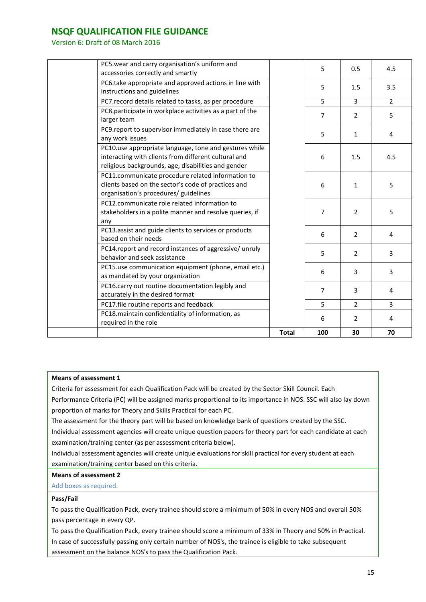Version 6: Draft of 08 March 2016

|                                                                                                             | <b>Total</b> | 100            | 30             | 70             |
|-------------------------------------------------------------------------------------------------------------|--------------|----------------|----------------|----------------|
| PC18. maintain confidentiality of information, as<br>required in the role                                   |              | 6              | $\overline{2}$ | 4              |
| PC17.file routine reports and feedback                                                                      |              | 5              | $\overline{2}$ | 3              |
| accurately in the desired format                                                                            |              |                |                |                |
| PC16.carry out routine documentation legibly and                                                            |              | 7              | 3              | 4              |
| as mandated by your organization                                                                            |              | 6              | 3              | 3              |
| PC15.use communication equipment (phone, email etc.)                                                        |              |                |                |                |
| PC14.report and record instances of aggressive/ unruly<br>behavior and seek assistance                      |              | 5              | $\overline{2}$ | 3              |
| based on their needs                                                                                        |              |                |                |                |
| PC13.assist and guide clients to services or products                                                       |              | 6              | $\overline{2}$ | 4              |
|                                                                                                             |              |                |                |                |
| stakeholders in a polite manner and resolve queries, if                                                     |              | $\overline{7}$ | $\overline{2}$ | 5              |
| organisation's procedures/ guidelines<br>PC12.communicate role related information to                       |              |                |                |                |
| clients based on the sector's code of practices and                                                         |              | 6              | $\mathbf{1}$   | 5              |
| PC11.communicate procedure related information to                                                           |              |                |                |                |
| interacting with clients from different cultural and<br>religious backgrounds, age, disabilities and gender |              | 6              | 1.5            | 4.5            |
| PC10.use appropriate language, tone and gestures while                                                      |              |                |                |                |
|                                                                                                             |              | 5              | $\mathbf{1}$   | 4              |
| PC9.report to supervisor immediately in case there are                                                      |              |                |                |                |
| PC8.participate in workplace activities as a part of the                                                    |              | 7              | $\overline{2}$ | 5              |
| PC7. record details related to tasks, as per procedure                                                      |              | 5              | 3              | $\overline{2}$ |
| PC6.take appropriate and approved actions in line with<br>instructions and guidelines                       |              | 5              | 1.5            | 3.5            |
| PC5.wear and carry organisation's uniform and<br>accessories correctly and smartly                          |              | 5              | 0.5            | 4.5            |
|                                                                                                             |              |                |                |                |

#### **Means of assessment 1**

Criteria for assessment for each Qualification Pack will be created by the Sector Skill Council. Each Performance Criteria (PC) will be assigned marks proportional to its importance in NOS. SSC will also lay down

proportion of marks for Theory and Skills Practical for each PC.

The assessment for the theory part will be based on knowledge bank of questions created by the SSC.

Individual assessment agencies will create unique question papers for theory part for each candidate at each examination/training center (as per assessment criteria below).

Individual assessment agencies will create unique evaluations for skill practical for every student at each examination/training center based on this criteria.

#### **Means of assessment 2**

Add boxes as required.

#### **Pass/Fail**

To pass the Qualification Pack, every trainee should score a minimum of 50% in every NOS and overall 50% pass percentage in every QP.

To pass the Qualification Pack, every trainee should score a minimum of 33% in Theory and 50% in Practical. In case of successfully passing only certain number of NOS's, the trainee is eligible to take subsequent assessment on the balance NOS's to pass the Qualification Pack.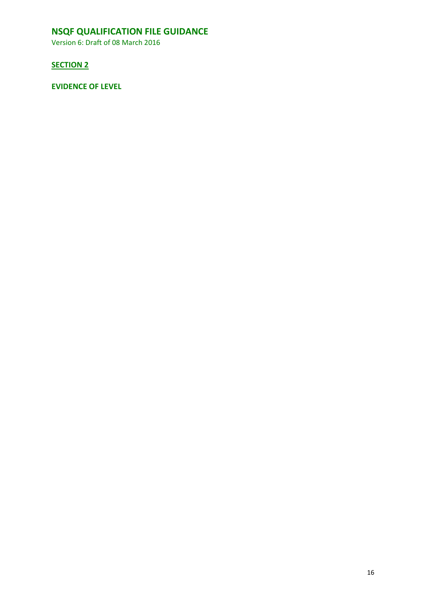Version 6: Draft of 08 March 2016

### **SECTION 2**

**EVIDENCE OF LEVEL**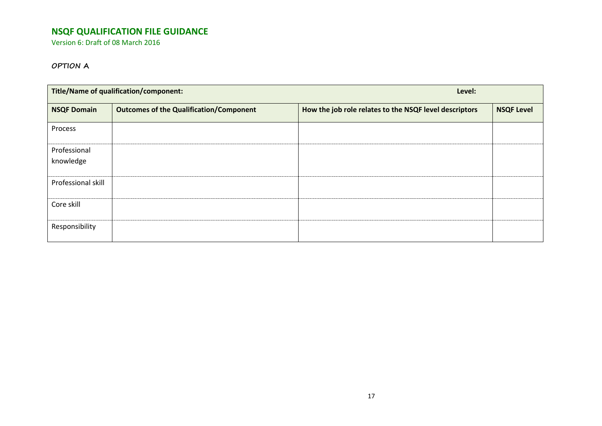Version 6: Draft of 08 March 2016

### **OPTION A**

| <b>Title/Name of qualification/component:</b> |                                                | Level:                                                 |                   |  |
|-----------------------------------------------|------------------------------------------------|--------------------------------------------------------|-------------------|--|
| <b>NSQF Domain</b>                            | <b>Outcomes of the Qualification/Component</b> | How the job role relates to the NSQF level descriptors | <b>NSQF Level</b> |  |
| Process                                       |                                                |                                                        |                   |  |
| Professional<br>knowledge                     |                                                |                                                        |                   |  |
| Professional skill                            |                                                |                                                        |                   |  |
| Core skill                                    |                                                |                                                        |                   |  |
| Responsibility                                |                                                |                                                        |                   |  |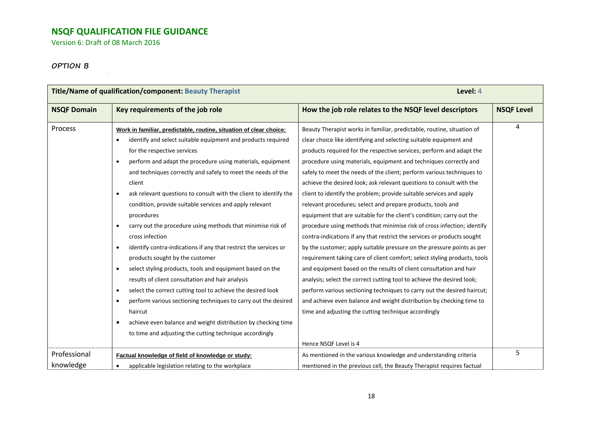Version 6: Draft of 08 March 2016

### **OPTION B**

| Title/Name of qualification/component: Beauty Therapist |                                                                                                                                                                                                                                                                                                                                                                                                                                                                                                                                                                                  | Level: 4                                                                                                                                                                                                                                                                                                                                                                                                                                                                                                                                                                                                                                                                                                                                                                                                        |                   |  |
|---------------------------------------------------------|----------------------------------------------------------------------------------------------------------------------------------------------------------------------------------------------------------------------------------------------------------------------------------------------------------------------------------------------------------------------------------------------------------------------------------------------------------------------------------------------------------------------------------------------------------------------------------|-----------------------------------------------------------------------------------------------------------------------------------------------------------------------------------------------------------------------------------------------------------------------------------------------------------------------------------------------------------------------------------------------------------------------------------------------------------------------------------------------------------------------------------------------------------------------------------------------------------------------------------------------------------------------------------------------------------------------------------------------------------------------------------------------------------------|-------------------|--|
| <b>NSQF Domain</b>                                      | Key requirements of the job role                                                                                                                                                                                                                                                                                                                                                                                                                                                                                                                                                 | How the job role relates to the NSQF level descriptors                                                                                                                                                                                                                                                                                                                                                                                                                                                                                                                                                                                                                                                                                                                                                          | <b>NSQF Level</b> |  |
| <b>Process</b>                                          | Work in familiar, predictable, routine, situation of clear choice:<br>identify and select suitable equipment and products required<br>for the respective services<br>perform and adapt the procedure using materials, equipment<br>$\bullet$<br>and techniques correctly and safely to meet the needs of the<br>client<br>ask relevant questions to consult with the client to identify the<br>$\bullet$<br>condition, provide suitable services and apply relevant<br>procedures<br>carry out the procedure using methods that minimise risk of<br>$\bullet$<br>cross infection | Beauty Therapist works in familiar, predictable, routine, situation of<br>clear choice like identifying and selecting suitable equipment and<br>products required for the respective services; perform and adapt the<br>procedure using materials, equipment and techniques correctly and<br>safely to meet the needs of the client; perform various techniques to<br>achieve the desired look; ask relevant questions to consult with the<br>client to identify the problem; provide suitable services and apply<br>relevant procedures; select and prepare products, tools and<br>equipment that are suitable for the client's condition; carry out the<br>procedure using methods that minimise risk of cross infection; identify<br>contra-indications if any that restrict the services or products sought | 4                 |  |
|                                                         | identify contra-indications if any that restrict the services or<br>$\bullet$<br>products sought by the customer<br>select styling products, tools and equipment based on the<br>$\bullet$<br>results of client consultation and hair analysis<br>select the correct cutting tool to achieve the desired look<br>$\bullet$<br>perform various sectioning techniques to carry out the desired<br>$\bullet$<br>haircut<br>achieve even balance and weight distribution by checking time<br>$\bullet$<br>to time and adjusting the cutting technique accordingly                    | by the customer; apply suitable pressure on the pressure points as per<br>requirement taking care of client comfort; select styling products, tools<br>and equipment based on the results of client consultation and hair<br>analysis; select the correct cutting tool to achieve the desired look;<br>perform various sectioning techniques to carry out the desired haircut;<br>and achieve even balance and weight distribution by checking time to<br>time and adjusting the cutting technique accordingly<br>Hence NSQF Level is 4                                                                                                                                                                                                                                                                         |                   |  |
| Professional<br>knowledge                               | Factual knowledge of field of knowledge or study:<br>applicable legislation relating to the workplace                                                                                                                                                                                                                                                                                                                                                                                                                                                                            | As mentioned in the various knowledge and understanding criteria<br>mentioned in the previous cell, the Beauty Therapist requires factual                                                                                                                                                                                                                                                                                                                                                                                                                                                                                                                                                                                                                                                                       | 5                 |  |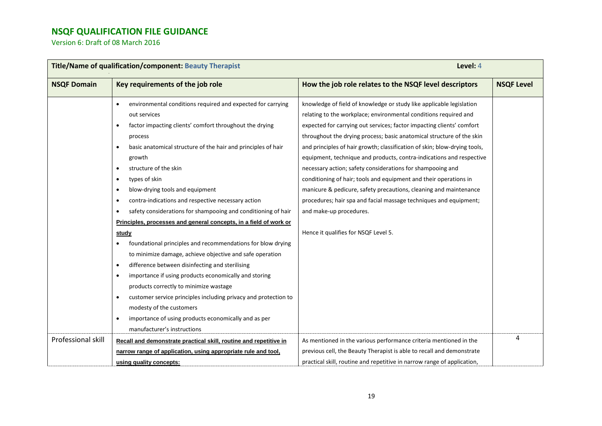| Title/Name of qualification/component: Beauty Therapist |                                                                            | Level: 4                                                                  |                   |  |
|---------------------------------------------------------|----------------------------------------------------------------------------|---------------------------------------------------------------------------|-------------------|--|
| <b>NSQF Domain</b>                                      | Key requirements of the job role                                           | How the job role relates to the NSQF level descriptors                    | <b>NSQF Level</b> |  |
|                                                         | environmental conditions required and expected for carrying<br>$\bullet$   | knowledge of field of knowledge or study like applicable legislation      |                   |  |
|                                                         | out services                                                               | relating to the workplace; environmental conditions required and          |                   |  |
|                                                         | factor impacting clients' comfort throughout the drying<br>$\bullet$       | expected for carrying out services; factor impacting clients' comfort     |                   |  |
|                                                         | process                                                                    | throughout the drying process; basic anatomical structure of the skin     |                   |  |
|                                                         | basic anatomical structure of the hair and principles of hair<br>$\bullet$ | and principles of hair growth; classification of skin; blow-drying tools, |                   |  |
|                                                         | growth                                                                     | equipment, technique and products, contra-indications and respective      |                   |  |
|                                                         | structure of the skin<br>$\bullet$                                         | necessary action; safety considerations for shampooing and                |                   |  |
|                                                         | types of skin<br>$\bullet$                                                 | conditioning of hair; tools and equipment and their operations in         |                   |  |
|                                                         | blow-drying tools and equipment<br>$\bullet$                               | manicure & pedicure, safety precautions, cleaning and maintenance         |                   |  |
|                                                         | contra-indications and respective necessary action<br>$\bullet$            | procedures; hair spa and facial massage techniques and equipment;         |                   |  |
|                                                         | safety considerations for shampooing and conditioning of hair<br>$\bullet$ | and make-up procedures.                                                   |                   |  |
|                                                         | Principles, processes and general concepts, in a field of work or          |                                                                           |                   |  |
|                                                         | study                                                                      | Hence it qualifies for NSQF Level 5.                                      |                   |  |
|                                                         | foundational principles and recommendations for blow drying                |                                                                           |                   |  |
|                                                         | to minimize damage, achieve objective and safe operation                   |                                                                           |                   |  |
|                                                         | difference between disinfecting and sterilising<br>$\bullet$               |                                                                           |                   |  |
|                                                         | importance if using products economically and storing<br>$\bullet$         |                                                                           |                   |  |
|                                                         | products correctly to minimize wastage                                     |                                                                           |                   |  |
|                                                         | customer service principles including privacy and protection to            |                                                                           |                   |  |
|                                                         | modesty of the customers                                                   |                                                                           |                   |  |
|                                                         | importance of using products economically and as per<br>$\bullet$          |                                                                           |                   |  |
|                                                         | manufacturer's instructions                                                |                                                                           |                   |  |
| <b>Professional skill</b>                               | Recall and demonstrate practical skill, routine and repetitive in          | As mentioned in the various performance criteria mentioned in the         | 4                 |  |
|                                                         | narrow range of application, using appropriate rule and tool,              | previous cell, the Beauty Therapist is able to recall and demonstrate     |                   |  |
|                                                         | using quality concepts:                                                    | practical skill, routine and repetitive in narrow range of application,   |                   |  |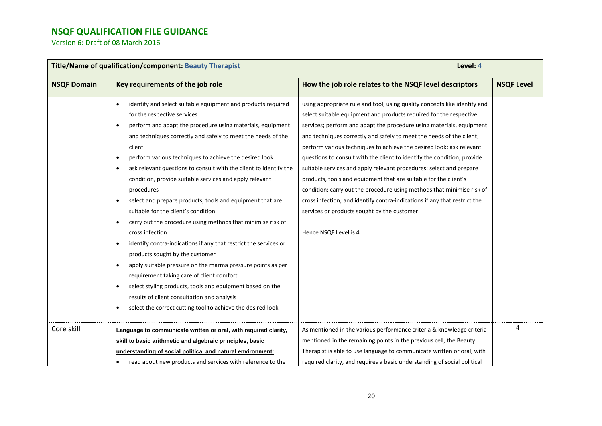| Title/Name of qualification/component: Beauty Therapist |                                                                                                                                                                                                                                                                                                                                                                                                                                                                                                                                                                                                                                                                                                                                                                                                                                                                                                                                                                                                                                                                                                                                                           | Level: 4                                                                                                                                                                                                                                                                                                                                                                                                                                                                                                                                                                                                                                                                                                                                                                                                                     |                   |  |
|---------------------------------------------------------|-----------------------------------------------------------------------------------------------------------------------------------------------------------------------------------------------------------------------------------------------------------------------------------------------------------------------------------------------------------------------------------------------------------------------------------------------------------------------------------------------------------------------------------------------------------------------------------------------------------------------------------------------------------------------------------------------------------------------------------------------------------------------------------------------------------------------------------------------------------------------------------------------------------------------------------------------------------------------------------------------------------------------------------------------------------------------------------------------------------------------------------------------------------|------------------------------------------------------------------------------------------------------------------------------------------------------------------------------------------------------------------------------------------------------------------------------------------------------------------------------------------------------------------------------------------------------------------------------------------------------------------------------------------------------------------------------------------------------------------------------------------------------------------------------------------------------------------------------------------------------------------------------------------------------------------------------------------------------------------------------|-------------------|--|
| <b>NSQF Domain</b>                                      | Key requirements of the job role                                                                                                                                                                                                                                                                                                                                                                                                                                                                                                                                                                                                                                                                                                                                                                                                                                                                                                                                                                                                                                                                                                                          | How the job role relates to the NSQF level descriptors                                                                                                                                                                                                                                                                                                                                                                                                                                                                                                                                                                                                                                                                                                                                                                       | <b>NSQF Level</b> |  |
|                                                         | identify and select suitable equipment and products required<br>$\bullet$<br>for the respective services<br>perform and adapt the procedure using materials, equipment<br>$\bullet$<br>and techniques correctly and safely to meet the needs of the<br>client<br>perform various techniques to achieve the desired look<br>$\bullet$<br>ask relevant questions to consult with the client to identify the<br>$\bullet$<br>condition, provide suitable services and apply relevant<br>procedures<br>select and prepare products, tools and equipment that are<br>$\bullet$<br>suitable for the client's condition<br>carry out the procedure using methods that minimise risk of<br>$\bullet$<br>cross infection<br>identify contra-indications if any that restrict the services or<br>٠<br>products sought by the customer<br>apply suitable pressure on the marma pressure points as per<br>$\bullet$<br>requirement taking care of client comfort<br>select styling products, tools and equipment based on the<br>$\bullet$<br>results of client consultation and analysis<br>select the correct cutting tool to achieve the desired look<br>$\bullet$ | using appropriate rule and tool, using quality concepts like identify and<br>select suitable equipment and products required for the respective<br>services; perform and adapt the procedure using materials, equipment<br>and techniques correctly and safely to meet the needs of the client;<br>perform various techniques to achieve the desired look; ask relevant<br>questions to consult with the client to identify the condition; provide<br>suitable services and apply relevant procedures; select and prepare<br>products, tools and equipment that are suitable for the client's<br>condition; carry out the procedure using methods that minimise risk of<br>cross infection; and identify contra-indications if any that restrict the<br>services or products sought by the customer<br>Hence NSQF Level is 4 |                   |  |
| Core skill                                              | Language to communicate written or oral, with required clarity,<br>skill to basic arithmetic and algebraic principles, basic<br>understanding of social political and natural environment:<br>read about new products and services with reference to the                                                                                                                                                                                                                                                                                                                                                                                                                                                                                                                                                                                                                                                                                                                                                                                                                                                                                                  | As mentioned in the various performance criteria & knowledge criteria<br>mentioned in the remaining points in the previous cell, the Beauty<br>Therapist is able to use language to communicate written or oral, with<br>required clarity, and requires a basic understanding of social political                                                                                                                                                                                                                                                                                                                                                                                                                                                                                                                            | 4                 |  |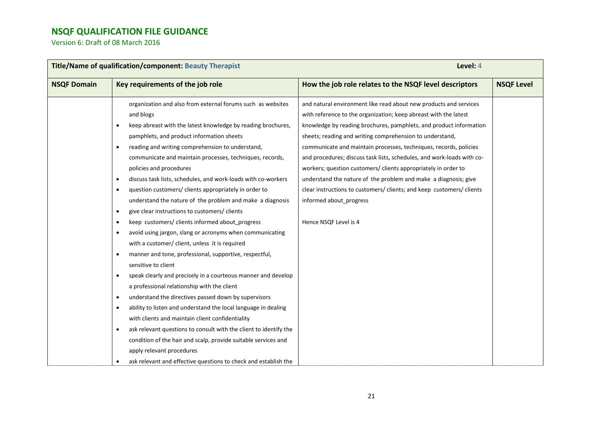| Title/Name of qualification/component: Beauty Therapist                                                                                                                                                                                                                                                                                                                                                                                                                                                                                                                                                                                                                                                                                                                                                                                                                                                                                                                                                                                                                                                                                                                                                                                                                                                                                                                                                                                                  | Level: 4                                                                                                                                                                                                                                                                                                                                                                                                                                                                                                                                                                                                                                                                                 |                   |
|----------------------------------------------------------------------------------------------------------------------------------------------------------------------------------------------------------------------------------------------------------------------------------------------------------------------------------------------------------------------------------------------------------------------------------------------------------------------------------------------------------------------------------------------------------------------------------------------------------------------------------------------------------------------------------------------------------------------------------------------------------------------------------------------------------------------------------------------------------------------------------------------------------------------------------------------------------------------------------------------------------------------------------------------------------------------------------------------------------------------------------------------------------------------------------------------------------------------------------------------------------------------------------------------------------------------------------------------------------------------------------------------------------------------------------------------------------|------------------------------------------------------------------------------------------------------------------------------------------------------------------------------------------------------------------------------------------------------------------------------------------------------------------------------------------------------------------------------------------------------------------------------------------------------------------------------------------------------------------------------------------------------------------------------------------------------------------------------------------------------------------------------------------|-------------------|
| Key requirements of the job role                                                                                                                                                                                                                                                                                                                                                                                                                                                                                                                                                                                                                                                                                                                                                                                                                                                                                                                                                                                                                                                                                                                                                                                                                                                                                                                                                                                                                         | How the job role relates to the NSQF level descriptors                                                                                                                                                                                                                                                                                                                                                                                                                                                                                                                                                                                                                                   | <b>NSQF Level</b> |
| organization and also from external forums such as websites<br>and blogs<br>keep abreast with the latest knowledge by reading brochures,<br>$\bullet$<br>pamphlets, and product information sheets<br>reading and writing comprehension to understand,<br>$\bullet$<br>communicate and maintain processes, techniques, records,<br>policies and procedures<br>discuss task lists, schedules, and work-loads with co-workers<br>$\bullet$<br>question customers/ clients appropriately in order to<br>$\bullet$<br>understand the nature of the problem and make a diagnosis<br>give clear instructions to customers/ clients<br>$\bullet$<br>keep customers/ clients informed about_progress<br>$\bullet$<br>avoid using jargon, slang or acronyms when communicating<br>$\bullet$<br>with a customer/ client, unless it is required<br>manner and tone, professional, supportive, respectful,<br>$\bullet$<br>sensitive to client<br>speak clearly and precisely in a courteous manner and develop<br>$\bullet$<br>a professional relationship with the client<br>understand the directives passed down by supervisors<br>$\bullet$<br>ability to listen and understand the local language in dealing<br>$\bullet$<br>with clients and maintain client confidentiality<br>ask relevant questions to consult with the client to identify the<br>$\bullet$<br>condition of the hair and scalp, provide suitable services and<br>apply relevant procedures | and natural environment like read about new products and services<br>with reference to the organization; keep abreast with the latest<br>knowledge by reading brochures, pamphlets, and product information<br>sheets; reading and writing comprehension to understand,<br>communicate and maintain processes, techniques, records, policies<br>and procedures; discuss task lists, schedules, and work-loads with co-<br>workers; question customers/ clients appropriately in order to<br>understand the nature of the problem and make a diagnosis; give<br>clear instructions to customers/ clients; and keep customers/ clients<br>informed about_progress<br>Hence NSQF Level is 4 |                   |
| ask relevant and effective questions to check and establish the                                                                                                                                                                                                                                                                                                                                                                                                                                                                                                                                                                                                                                                                                                                                                                                                                                                                                                                                                                                                                                                                                                                                                                                                                                                                                                                                                                                          |                                                                                                                                                                                                                                                                                                                                                                                                                                                                                                                                                                                                                                                                                          |                   |
|                                                                                                                                                                                                                                                                                                                                                                                                                                                                                                                                                                                                                                                                                                                                                                                                                                                                                                                                                                                                                                                                                                                                                                                                                                                                                                                                                                                                                                                          |                                                                                                                                                                                                                                                                                                                                                                                                                                                                                                                                                                                                                                                                                          |                   |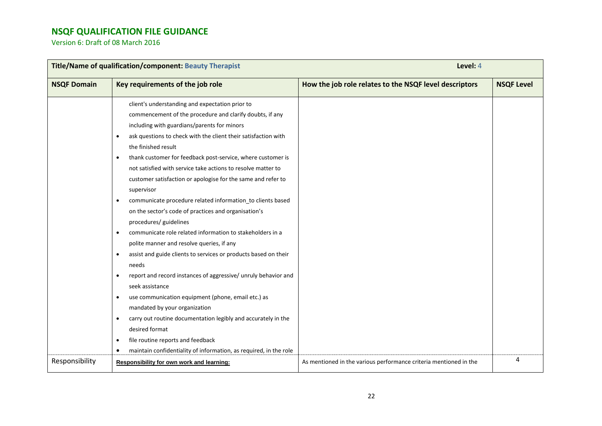| Title/Name of qualification/component: Beauty Therapist |                                                                                                                                                                                                                                                                                                                                                                                                                                                                                                                                                                                                                                                                                                                                                                                                                                                                                                                                                                                                                                                                                                                                                             | Level: 4                                                          |                   |
|---------------------------------------------------------|-------------------------------------------------------------------------------------------------------------------------------------------------------------------------------------------------------------------------------------------------------------------------------------------------------------------------------------------------------------------------------------------------------------------------------------------------------------------------------------------------------------------------------------------------------------------------------------------------------------------------------------------------------------------------------------------------------------------------------------------------------------------------------------------------------------------------------------------------------------------------------------------------------------------------------------------------------------------------------------------------------------------------------------------------------------------------------------------------------------------------------------------------------------|-------------------------------------------------------------------|-------------------|
| <b>NSQF Domain</b>                                      | Key requirements of the job role                                                                                                                                                                                                                                                                                                                                                                                                                                                                                                                                                                                                                                                                                                                                                                                                                                                                                                                                                                                                                                                                                                                            | How the job role relates to the NSQF level descriptors            | <b>NSQF Level</b> |
|                                                         | client's understanding and expectation prior to<br>commencement of the procedure and clarify doubts, if any<br>including with guardians/parents for minors<br>ask questions to check with the client their satisfaction with<br>$\bullet$<br>the finished result<br>thank customer for feedback post-service, where customer is<br>$\bullet$<br>not satisfied with service take actions to resolve matter to<br>customer satisfaction or apologise for the same and refer to<br>supervisor<br>communicate procedure related information_to clients based<br>$\bullet$<br>on the sector's code of practices and organisation's<br>procedures/ guidelines<br>communicate role related information to stakeholders in a<br>$\bullet$<br>polite manner and resolve queries, if any<br>assist and guide clients to services or products based on their<br>$\bullet$<br>needs<br>report and record instances of aggressive/ unruly behavior and<br>$\bullet$<br>seek assistance<br>use communication equipment (phone, email etc.) as<br>$\bullet$<br>mandated by your organization<br>carry out routine documentation legibly and accurately in the<br>$\bullet$ |                                                                   |                   |
|                                                         | desired format<br>file routine reports and feedback<br>$\bullet$                                                                                                                                                                                                                                                                                                                                                                                                                                                                                                                                                                                                                                                                                                                                                                                                                                                                                                                                                                                                                                                                                            |                                                                   |                   |
| Responsibility                                          | maintain confidentiality of information, as required, in the role<br>$\bullet$<br>Responsibility for own work and learning:                                                                                                                                                                                                                                                                                                                                                                                                                                                                                                                                                                                                                                                                                                                                                                                                                                                                                                                                                                                                                                 | As mentioned in the various performance criteria mentioned in the | 4                 |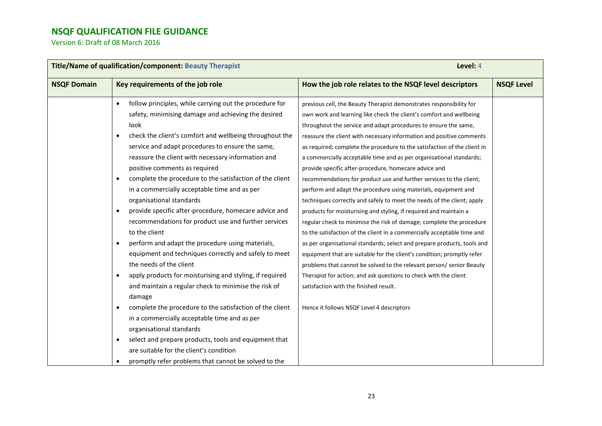| Title/Name of qualification/component: Beauty Therapist |                                                                       | Level: 4                                                                 |                   |  |
|---------------------------------------------------------|-----------------------------------------------------------------------|--------------------------------------------------------------------------|-------------------|--|
| <b>NSQF Domain</b>                                      | Key requirements of the job role                                      | How the job role relates to the NSQF level descriptors                   | <b>NSQF Level</b> |  |
|                                                         | follow principles, while carrying out the procedure for<br>$\bullet$  | previous cell, the Beauty Therapist demonstrates responsibility for      |                   |  |
|                                                         | safety, minimising damage and achieving the desired                   | own work and learning like check the client's comfort and wellbeing      |                   |  |
|                                                         | look                                                                  | throughout the service and adapt procedures to ensure the same,          |                   |  |
|                                                         | check the client's comfort and wellbeing throughout the<br>$\bullet$  | reassure the client with necessary information and positive comments     |                   |  |
|                                                         | service and adapt procedures to ensure the same,                      | as required; complete the procedure to the satisfaction of the client in |                   |  |
|                                                         | reassure the client with necessary information and                    | a commercially acceptable time and as per organisational standards;      |                   |  |
|                                                         | positive comments as required                                         | provide specific after-procedure, homecare advice and                    |                   |  |
|                                                         | complete the procedure to the satisfaction of the client<br>$\bullet$ | recommendations for product use and further services to the client;      |                   |  |
|                                                         | in a commercially acceptable time and as per                          | perform and adapt the procedure using materials, equipment and           |                   |  |
|                                                         | organisational standards                                              | techniques correctly and safely to meet the needs of the client; apply   |                   |  |
|                                                         | provide specific after-procedure, homecare advice and<br>$\bullet$    | products for moisturising and styling, if required and maintain a        |                   |  |
|                                                         | recommendations for product use and further services                  | regular check to minimise the risk of damage; complete the procedure     |                   |  |
|                                                         | to the client                                                         | to the satisfaction of the client in a commercially acceptable time and  |                   |  |
|                                                         | perform and adapt the procedure using materials,<br>$\bullet$         | as per organisational standards; select and prepare products, tools and  |                   |  |
|                                                         | equipment and techniques correctly and safely to meet                 | equipment that are suitable for the client's condition; promptly refer   |                   |  |
|                                                         | the needs of the client                                               | problems that cannot be solved to the relevant person/senior Beauty      |                   |  |
|                                                         | apply products for moisturising and styling, if required<br>$\bullet$ | Therapist for action; and ask questions to check with the client         |                   |  |
|                                                         | and maintain a regular check to minimise the risk of                  | satisfaction with the finished result.                                   |                   |  |
|                                                         | damage                                                                |                                                                          |                   |  |
|                                                         | complete the procedure to the satisfaction of the client<br>$\bullet$ | Hence it follows NSQF Level 4 descriptors                                |                   |  |
|                                                         | in a commercially acceptable time and as per                          |                                                                          |                   |  |
|                                                         | organisational standards                                              |                                                                          |                   |  |
|                                                         | select and prepare products, tools and equipment that<br>٠            |                                                                          |                   |  |
|                                                         | are suitable for the client's condition                               |                                                                          |                   |  |
|                                                         | promptly refer problems that cannot be solved to the<br>٠             |                                                                          |                   |  |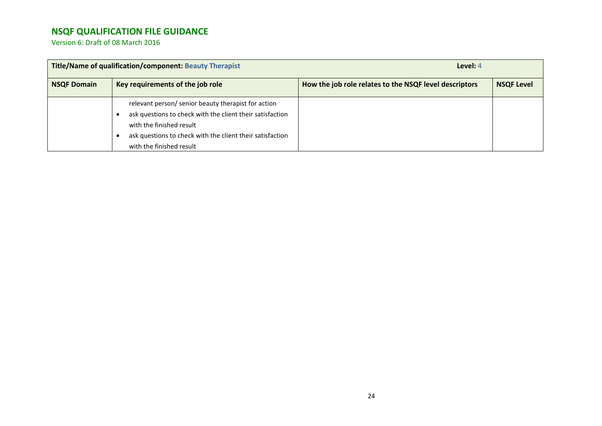| Title/Name of qualification/component: Beauty Therapist |                                                                                                                                                                                                                                       | Level: 4                                               |                   |
|---------------------------------------------------------|---------------------------------------------------------------------------------------------------------------------------------------------------------------------------------------------------------------------------------------|--------------------------------------------------------|-------------------|
| <b>NSQF Domain</b>                                      | Key requirements of the job role                                                                                                                                                                                                      | How the job role relates to the NSQF level descriptors | <b>NSQF Level</b> |
|                                                         | relevant person/ senior beauty therapist for action<br>ask questions to check with the client their satisfaction<br>with the finished result<br>ask questions to check with the client their satisfaction<br>with the finished result |                                                        |                   |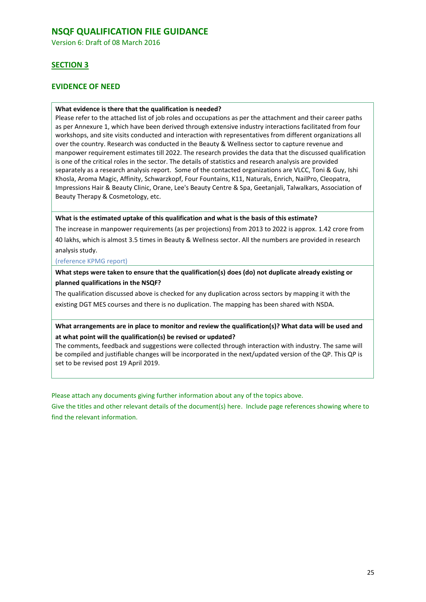Version 6: Draft of 08 March 2016

### **SECTION 3**

### **EVIDENCE OF NEED**

#### **What evidence is there that the qualification is needed?**

Please refer to the attached list of job roles and occupations as per the attachment and their career paths as per Annexure 1, which have been derived through extensive industry interactions facilitated from four workshops, and site visits conducted and interaction with representatives from different organizations all over the country. Research was conducted in the Beauty & Wellness sector to capture revenue and manpower requirement estimates till 2022. The research provides the data that the discussed qualification is one of the critical roles in the sector. The details of statistics and research analysis are provided separately as a research analysis report. Some of the contacted organizations are VLCC, Toni & Guy, Ishi Khosla, Aroma Magic, Affinity, Schwarzkopf, Four Fountains, K11, Naturals, Enrich, NailPro, Cleopatra, Impressions Hair & Beauty Clinic, Orane, Lee's Beauty Centre & Spa, Geetanjali, Talwalkars, Association of Beauty Therapy & Cosmetology, etc.

#### **What is the estimated uptake of this qualification and what is the basis of this estimate?**

The increase in manpower requirements (as per projections) from 2013 to 2022 is approx. 1.42 crore from 40 lakhs, which is almost 3.5 times in Beauty & Wellness sector. All the numbers are provided in research analysis study.

#### (reference KPMG report)

**What steps were taken to ensure that the qualification(s) does (do) not duplicate already existing or planned qualifications in the NSQF?**

The qualification discussed above is checked for any duplication across sectors by mapping it with the existing DGT MES courses and there is no duplication. The mapping has been shared with NSDA.

#### **What arrangements are in place to monitor and review the qualification(s)? What data will be used and at what point will the qualification(s) be revised or updated?**

The comments, feedback and suggestions were collected through interaction with industry. The same will be compiled and justifiable changes will be incorporated in the next/updated version of the QP. This QP is set to be revised post 19 April 2019.

Please attach any documents giving further information about any of the topics above.

Give the titles and other relevant details of the document(s) here. Include page references showing where to find the relevant information.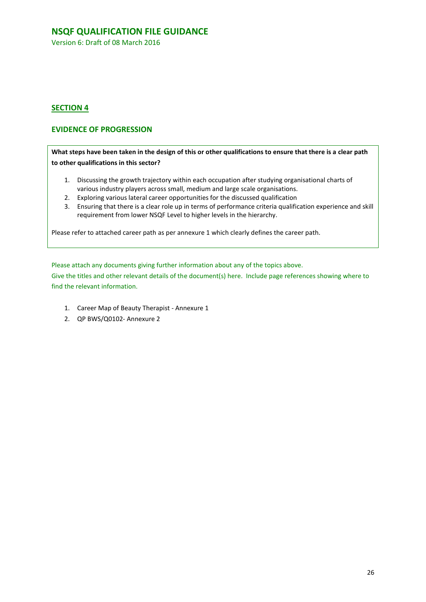Version 6: Draft of 08 March 2016

### **SECTION 4**

### **EVIDENCE OF PROGRESSION**

**What steps have been taken in the design of this or other qualifications to ensure that there is a clear path to other qualifications in this sector?**

- 1. Discussing the growth trajectory within each occupation after studying organisational charts of various industry players across small, medium and large scale organisations.
- 2. Exploring various lateral career opportunities for the discussed qualification
- 3. Ensuring that there is a clear role up in terms of performance criteria qualification experience and skill requirement from lower NSQF Level to higher levels in the hierarchy.

Please refer to attached career path as per annexure 1 which clearly defines the career path.

Please attach any documents giving further information about any of the topics above.

Give the titles and other relevant details of the document(s) here. Include page references showing where to find the relevant information.

- 1. Career Map of Beauty Therapist Annexure 1
- 2. QP BWS/Q0102- Annexure 2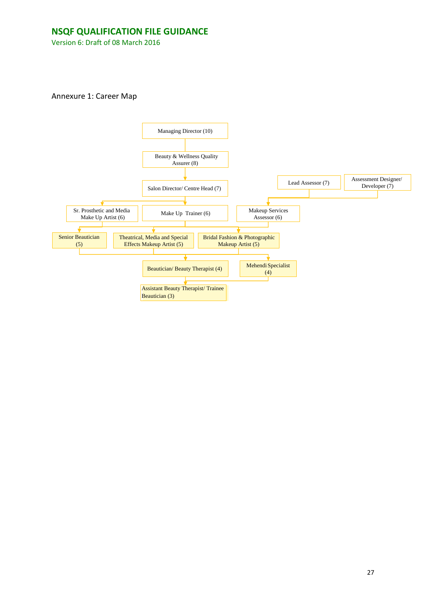Version 6: Draft of 08 March 2016

Annexure 1: Career Map